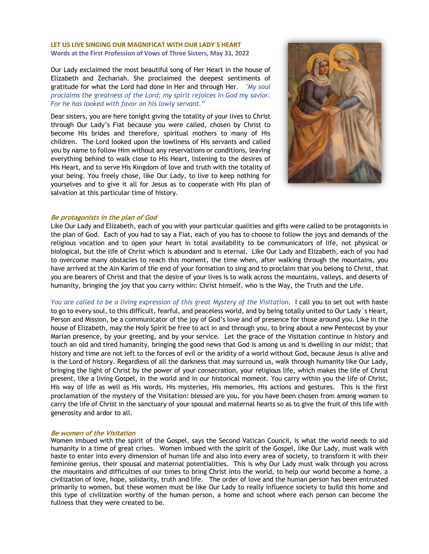### **LET US LIVE SINGING OUR MAGNIFICAT WITH OUR LADY´S HEART Words at the First Profession of Vows of Three Sisters, May 31, 2022**

Our Lady exclaimed the most beautiful song of Her Heart in the house of Elizabeth and Zechariah. She proclaimed the deepest sentiments of gratitude for what the Lord had done in Her and through Her*. "My soul proclaims the greatness of the Lord; my spirit rejoices in God my savior. For he has looked with favor on his lowly servant."*

Dear sisters, you are here tonight giving the totality of your lives to Christ through Our Lady's Fiat because you were called, chosen by Christ to become His brides and therefore, spiritual mothers to many of His children. The Lord looked upon the lowliness of His servants and called you by name to follow Him without any reservations or conditions, leaving everything behind to walk close to His Heart, listening to the desires of His Heart, and to serve His Kingdom of love and truth with the totality of your being. You freely chose, like Our Lady, to live to keep nothing for yourselves and to give it all for Jesus as to cooperate with His plan of salvation at this particular time of history.



### **Be protagonists in the plan of God**

Like Our Lady and Elizabeth, each of you with your particular qualities and gifts were called to be protagonists in the plan of God. Each of you had to say a Fiat, each of you has to choose to follow the joys and demands of the religious vocation and to open your heart in total availability to be communicators of life, not physical or biological, but the life of Christ which is abundant and is eternal. Like Our Lady and Elizabeth, each of you had to overcome many obstacles to reach this moment, the time when, after walking through the mountains, you have arrived at the Ain Karim of the end of your formation to sing and to proclaim that you belong to Christ, that you are bearers of Christ and that the desire of your lives is to walk across the mountains, valleys, and deserts of humanity, bringing the joy that you carry within: Christ himself, who is the Way, the Truth and the Life.

*You are called to be a living expression of this great Mystery of the Visitation*. I call you to set out with haste to go to every soul, to this difficult, fearful, and peaceless world, and by being totally united to Our Lady´s Heart, Person and Mission, be a communicator of the joy of God's love and of presence for those around you. Like in the house of Elizabeth, may the Holy Spirit be free to act in and through you, to bring about a new Pentecost by your Marian presence, by your greeting, and by your service. Let the grace of the Visitation continue in history and touch an old and tired humanity, bringing the good news that God is among us and is dwelling in our midst; that history and time are not left to the forces of evil or the aridity of a world without God, because Jesus is alive and is the Lord of history. Regardless of all the darkness that may surround us, walk through humanity like Our Lady, bringing the light of Christ by the power of your consecration, your religious life, which makes the life of Christ present, like a living Gospel, in the world and in our historical moment. You carry within you the life of Christ, His way of life as well as His words, His mysteries, His memories, His actions and gestures. This is the first proclamation of the mystery of the Visitation: blessed are you, for you have been chosen from among women to carry the life of Christ in the sanctuary of your spousal and maternal hearts so as to give the fruit of this life with generosity and ardor to all.

# **Be women of the Visitation**

Women imbued with the spirit of the Gospel, says the Second Vatican Council, is what the world needs to aid humanity in a time of great crises. Women imbued with the spirit of the Gospel, like Our Lady, must walk with haste to enter into every dimension of human life and also into every area of society, to transform it with their feminine genius, their spousal and maternal potentialities. This is why Our Lady must walk through you across the mountains and difficulties of our times to bring Christ into the world, to help our world become a home, a civilization of love, hope, solidarity, truth and life. The order of love and the human person has been entrusted primarily to women, but these women must be like Our Lady to really influence society to build this home and this type of civilization worthy of the human person, a home and school where each person can become the fullness that they were created to be.